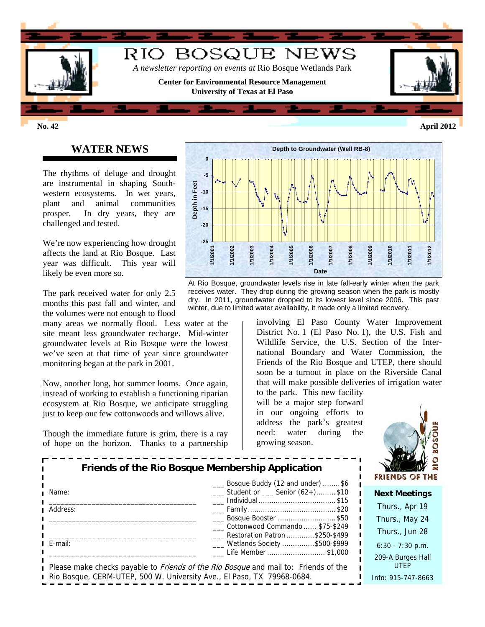

# **WATER NEWS**

The rhythms of deluge and drought are instrumental in shaping Southwestern ecosystems. In wet years, plant and animal communities prosper. In dry years, they are challenged and tested.

We're now experiencing how drought affects the land at Rio Bosque. Last year was difficult. This year will likely be even more so.

The park received water for only 2.5 months this past fall and winter, and the volumes were not enough to flood

many areas we normally flood. Less water at the site meant less groundwater recharge. Mid-winter groundwater levels at Rio Bosque were the lowest we've seen at that time of year since groundwater monitoring began at the park in 2001.

Now, another long, hot summer looms. Once again, instead of working to establish a functioning riparian ecosystem at Rio Bosque, we anticipate struggling just to keep our few cottonwoods and willows alive.

Though the immediate future is grim, there is a ray of hope on the horizon. Thanks to a partnership



At Rio Bosque, groundwater levels rise in late fall-early winter when the park receives water. They drop during the growing season when the park is mostly dry. In 2011, groundwater dropped to its lowest level since 2006. This past winter, due to limited water availability, it made only a limited recovery.

> involving El Paso County Water Improvement District No. 1 (El Paso No. 1), the U.S. Fish and Wildlife Service, the U.S. Section of the International Boundary and Water Commission, the Friends of the Rio Bosque and UTEP, there should soon be a turnout in place on the Riverside Canal that will make possible deliveries of irrigation water

the growing season. to the park. This new facility will be a major step forward in our ongoing efforts to address the park's greatest need: water during



| Friends of the Rio Bosque Membership Application<br>Bosque Buddy (12 and under) \$6                               |                                                                   | <b>FRIENDS OF TH</b>             |
|-------------------------------------------------------------------------------------------------------------------|-------------------------------------------------------------------|----------------------------------|
| Name:                                                                                                             | $\frac{1}{2}$ Student or $\frac{1}{2}$ Senior (62+)\$10           | <b>Next Meetings</b>             |
| Address:                                                                                                          | Individual \$15                                                   | Thurs., Apr 19                   |
|                                                                                                                   | ___ Bosque Booster \$50                                           | Thurs., May 24                   |
|                                                                                                                   | Cottonwood Commando  \$75-\$249<br>Restoration Patron \$250-\$499 | Thurs., Jun 28                   |
| E-mail:                                                                                                           | ___ Wetlands Society \$500-\$999                                  | $6:30 - 7:30$ p.m.               |
| Life Member \$1,000<br>Please make checks payable to <i>Friends of the Rio Bosque</i> and mail to: Friends of the |                                                                   | 209-A Burges Hall<br><b>UTEP</b> |
| Rio Bosque, CERM-UTEP, 500 W. University Ave., El Paso, TX 79968-0684.                                            |                                                                   | Info: 915-747-8663               |

**No. 42 April 2012**